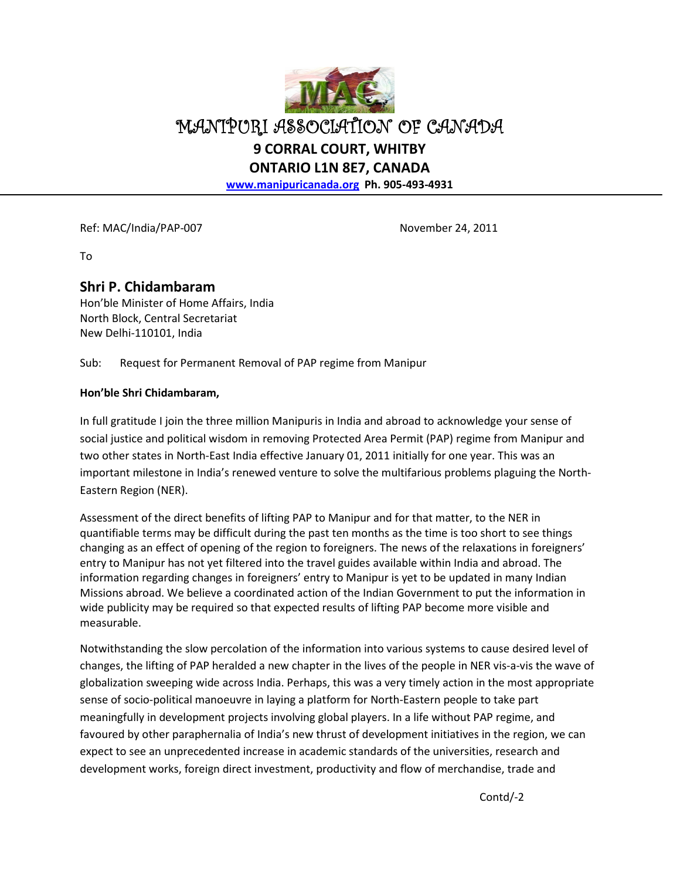

MANIPURI ASSOCIATION OF CANADA **9 CORRAL COURT, WHITBY** 

**ONTARIO L1N 8E7, CANADA** 

**www.manipuricanada.org Ph. 905-493-4931** 

Ref: MAC/India/PAP-007 November 24, 2011

To

## **Shri P. Chidambaram**

Hon'ble Minister of Home Affairs, India North Block, Central Secretariat New Delhi-110101, India

Sub: Request for Permanent Removal of PAP regime from Manipur

## **Hon'ble Shri Chidambaram,**

In full gratitude I join the three million Manipuris in India and abroad to acknowledge your sense of social justice and political wisdom in removing Protected Area Permit (PAP) regime from Manipur and two other states in North-East India effective January 01, 2011 initially for one year. This was an important milestone in India's renewed venture to solve the multifarious problems plaguing the North-Eastern Region (NER).

Assessment of the direct benefits of lifting PAP to Manipur and for that matter, to the NER in quantifiable terms may be difficult during the past ten months as the time is too short to see things changing as an effect of opening of the region to foreigners. The news of the relaxations in foreigners' entry to Manipur has not yet filtered into the travel guides available within India and abroad. The information regarding changes in foreigners' entry to Manipur is yet to be updated in many Indian Missions abroad. We believe a coordinated action of the Indian Government to put the information in wide publicity may be required so that expected results of lifting PAP become more visible and measurable.

Notwithstanding the slow percolation of the information into various systems to cause desired level of changes, the lifting of PAP heralded a new chapter in the lives of the people in NER vis-a-vis the wave of globalization sweeping wide across India. Perhaps, this was a very timely action in the most appropriate sense of socio-political manoeuvre in laying a platform for North-Eastern people to take part meaningfully in development projects involving global players. In a life without PAP regime, and favoured by other paraphernalia of India's new thrust of development initiatives in the region, we can expect to see an unprecedented increase in academic standards of the universities, research and development works, foreign direct investment, productivity and flow of merchandise, trade and

Contd/-2